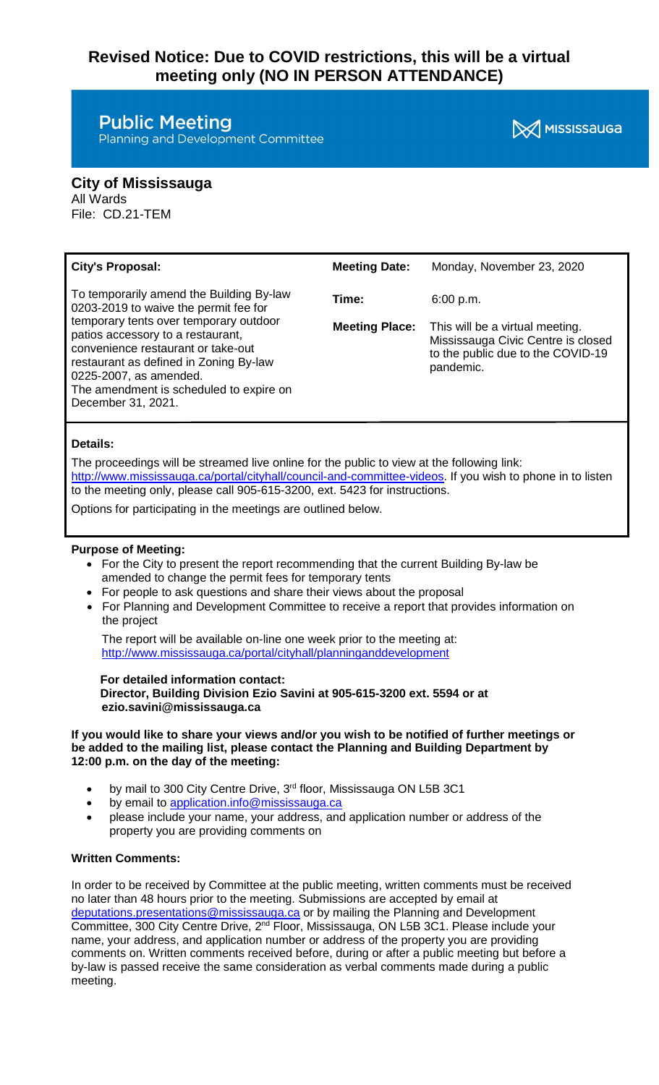# **Revised Notice: Due to COVID restrictions, this will be a virtual meeting only (NO IN PERSON ATTENDANCE)**

# **Public Meeting**

Planning and Development Committee



# **City of Mississauga**

All Wards File: CD.21-TEM

| <b>City's Proposal:</b>                                                                                                                                                                                                                                | <b>Meeting Date:</b>  | Monday, November 23, 2020                                                                                               |
|--------------------------------------------------------------------------------------------------------------------------------------------------------------------------------------------------------------------------------------------------------|-----------------------|-------------------------------------------------------------------------------------------------------------------------|
| To temporarily amend the Building By-law<br>0203-2019 to waive the permit fee for                                                                                                                                                                      | Time:                 | 6:00 p.m.                                                                                                               |
| temporary tents over temporary outdoor<br>patios accessory to a restaurant,<br>convenience restaurant or take-out<br>restaurant as defined in Zoning By-law<br>0225-2007, as amended.<br>The amendment is scheduled to expire on<br>December 31, 2021. | <b>Meeting Place:</b> | This will be a virtual meeting.<br>Mississauga Civic Centre is closed<br>to the public due to the COVID-19<br>pandemic. |

# **Details:**

The proceedings will be streamed live online for the public to view at the following link: [http://www.mississauga.ca/portal/cityhall/council-and-committee-videos.](http://www.mississauga.ca/portal/cityhall/council-and-committee-videos) If you wish to phone in to listen to the meeting only, please call 905-615-3200, ext. 5423 for instructions.

Options for participating in the meetings are outlined below.

# **Purpose of Meeting:**

- For the City to present the report recommending that the current Building By-law be amended to change the permit fees for temporary tents
- For people to ask questions and share their views about the proposal
- For Planning and Development Committee to receive a report that provides information on the project

The report will be available on-line one week prior to the meeting at: <http://www.mississauga.ca/portal/cityhall/planninganddevelopment>

**For detailed information contact: Director, Building Division Ezio Savini at 905-615-3200 ext. 5594 or at ezio.savini@mississauga.ca**

### **If you would like to share your views and/or you wish to be notified of further meetings or be added to the mailing list, please contact the Planning and Building Department by 12:00 p.m. on the day of the meeting:**

- by mail to 300 City Centre Drive, 3<sup>rd</sup> floor, Mississauga ON L5B 3C1
- by email to [application.info@mississauga.ca](http://teamsites.mississauga.ca/sites/18/Glossaries%20and%20Templates/application.info@mississauga.ca)
- please include your name, your address, and application number or address of the property you are providing comments on

#### **Written Comments:**

In order to be received by Committee at the public meeting, written comments must be received no later than 48 hours prior to the meeting. Submissions are accepted by email at [deputations.presentations@mississauga.ca](mailto:angie.melo@mississauga.ca)</u> or by mailing the Planning and Development Committee, 300 City Centre Drive, 2<sup>nd</sup> Floor, Mississauga, ON L5B 3C1. Please include your name, your address, and application number or address of the property you are providing comments on. Written comments received before, during or after a public meeting but before a by-law is passed receive the same consideration as verbal comments made during a public meeting.